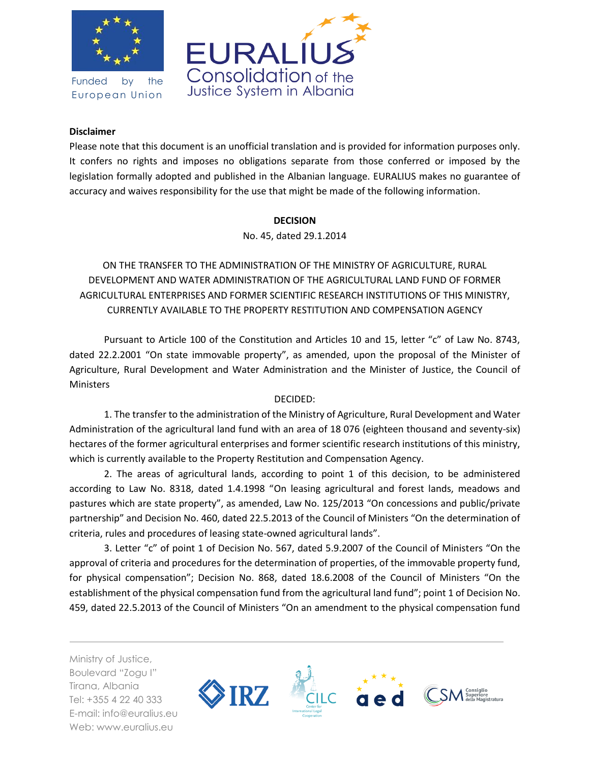

Funded by the European Union



## **Disclaimer**

Please note that this document is an unofficial translation and is provided for information purposes only. It confers no rights and imposes no obligations separate from those conferred or imposed by the legislation formally adopted and published in the Albanian language. EURALIUS makes no guarantee of accuracy and waives responsibility for the use that might be made of the following information.

## **DECISION**

No. 45, dated 29.1.2014

ON THE TRANSFER TO THE ADMINISTRATION OF THE MINISTRY OF AGRICULTURE, RURAL DEVELOPMENT AND WATER ADMINISTRATION OF THE AGRICULTURAL LAND FUND OF FORMER AGRICULTURAL ENTERPRISES AND FORMER SCIENTIFIC RESEARCH INSTITUTIONS OF THIS MINISTRY, CURRENTLY AVAILABLE TO THE PROPERTY RESTITUTION AND COMPENSATION AGENCY

Pursuant to Article 100 of the Constitution and Articles 10 and 15, letter "c" of Law No. 8743, dated 22.2.2001 "On state immovable property", as amended, upon the proposal of the Minister of Agriculture, Rural Development and Water Administration and the Minister of Justice, the Council of **Ministers** 

## DECIDED:

1. The transfer to the administration of the Ministry of Agriculture, Rural Development and Water Administration of the agricultural land fund with an area of 18 076 (eighteen thousand and seventy-six) hectares of the former agricultural enterprises and former scientific research institutions of this ministry, which is currently available to the Property Restitution and Compensation Agency.

2. The areas of agricultural lands, according to point 1 of this decision, to be administered according to Law No. 8318, dated 1.4.1998 "On leasing agricultural and forest lands, meadows and pastures which are state property", as amended, Law No. 125/2013 "On concessions and public/private partnership" and Decision No. 460, dated 22.5.2013 of the Council of Ministers "On the determination of criteria, rules and procedures of leasing state-owned agricultural lands".

3. Letter "c" of point 1 of Decision No. 567, dated 5.9.2007 of the Council of Ministers "On the approval of criteria and procedures for the determination of properties, of the immovable property fund, for physical compensation"; Decision No. 868, dated 18.6.2008 of the Council of Ministers "On the establishment of the physical compensation fund from the agricultural land fund"; point 1 of Decision No. 459, dated 22.5.2013 of the Council of Ministers "On an amendment to the physical compensation fund

Ministry of Justice, Boulevard "Zogu I" Tirana, Albania Tel: +355 4 22 40 333 E-mail: info@euralius.eu Web: www.euralius.eu